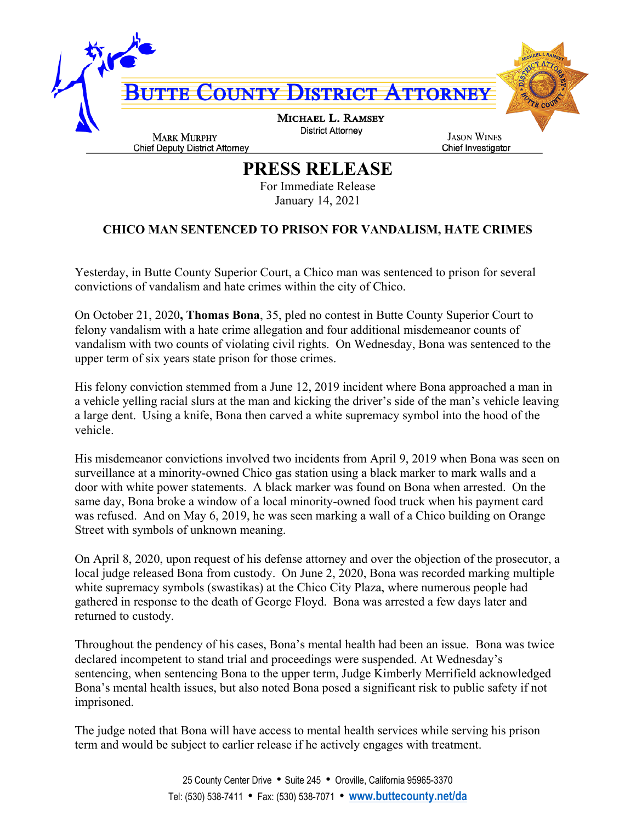

## **PRESS RELEASE**

For Immediate Release January 14, 2021

## **CHICO MAN SENTENCED TO PRISON FOR VANDALISM, HATE CRIMES**

Yesterday, in Butte County Superior Court, a Chico man was sentenced to prison for several convictions of vandalism and hate crimes within the city of Chico.

On October 21, 2020**, Thomas Bona**, 35, pled no contest in Butte County Superior Court to felony vandalism with a hate crime allegation and four additional misdemeanor counts of vandalism with two counts of violating civil rights. On Wednesday, Bona was sentenced to the upper term of six years state prison for those crimes.

His felony conviction stemmed from a June 12, 2019 incident where Bona approached a man in a vehicle yelling racial slurs at the man and kicking the driver's side of the man's vehicle leaving a large dent. Using a knife, Bona then carved a white supremacy symbol into the hood of the vehicle.

His misdemeanor convictions involved two incidents from April 9, 2019 when Bona was seen on surveillance at a minority-owned Chico gas station using a black marker to mark walls and a door with white power statements. A black marker was found on Bona when arrested. On the same day, Bona broke a window of a local minority-owned food truck when his payment card was refused. And on May 6, 2019, he was seen marking a wall of a Chico building on Orange Street with symbols of unknown meaning.

On April 8, 2020, upon request of his defense attorney and over the objection of the prosecutor, a local judge released Bona from custody. On June 2, 2020, Bona was recorded marking multiple white supremacy symbols (swastikas) at the Chico City Plaza, where numerous people had gathered in response to the death of George Floyd. Bona was arrested a few days later and returned to custody.

Throughout the pendency of his cases, Bona's mental health had been an issue. Bona was twice declared incompetent to stand trial and proceedings were suspended. At Wednesday's sentencing, when sentencing Bona to the upper term, Judge Kimberly Merrifield acknowledged Bona's mental health issues, but also noted Bona posed a significant risk to public safety if not imprisoned.

The judge noted that Bona will have access to mental health services while serving his prison term and would be subject to earlier release if he actively engages with treatment.